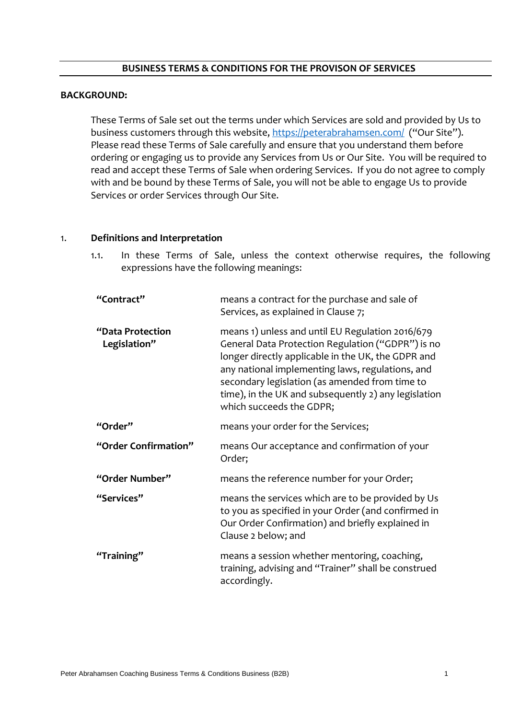#### **BUSINESS TERMS & CONDITIONS FOR THE PROVISON OF SERVICES**

#### **BACKGROUND:**

These Terms of Sale set out the terms under which Services are sold and provided by Us to business customers through this website, <https://peterabrahamsen.com/>("Our Site"). Please read these Terms of Sale carefully and ensure that you understand them before ordering or engaging us to provide any Services from Us or Our Site. You will be required to read and accept these Terms of Sale when ordering Services. If you do not agree to comply with and be bound by these Terms of Sale, you will not be able to engage Us to provide Services or order Services through Our Site.

### 1. **Definitions and Interpretation**

1.1. In these Terms of Sale, unless the context otherwise requires, the following expressions have the following meanings:

| "Contract"                       | means a contract for the purchase and sale of<br>Services, as explained in Clause 7;                                                                                                                                                                                                                                                                  |
|----------------------------------|-------------------------------------------------------------------------------------------------------------------------------------------------------------------------------------------------------------------------------------------------------------------------------------------------------------------------------------------------------|
| "Data Protection<br>Legislation" | means 1) unless and until EU Regulation 2016/679<br>General Data Protection Regulation ("GDPR") is no<br>longer directly applicable in the UK, the GDPR and<br>any national implementing laws, regulations, and<br>secondary legislation (as amended from time to<br>time), in the UK and subsequently 2) any legislation<br>which succeeds the GDPR; |
| "Order"                          | means your order for the Services;                                                                                                                                                                                                                                                                                                                    |
| "Order Confirmation"             | means Our acceptance and confirmation of your<br>Order;                                                                                                                                                                                                                                                                                               |
| "Order Number"                   | means the reference number for your Order;                                                                                                                                                                                                                                                                                                            |
| "Services"                       | means the services which are to be provided by Us<br>to you as specified in your Order (and confirmed in<br>Our Order Confirmation) and briefly explained in<br>Clause 2 below; and                                                                                                                                                                   |
| "Training"                       | means a session whether mentoring, coaching,<br>training, advising and "Trainer" shall be construed<br>accordingly.                                                                                                                                                                                                                                   |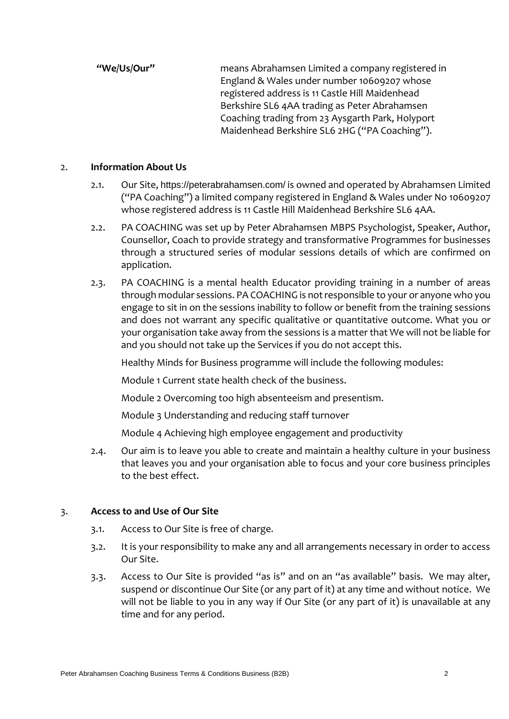**"We/Us/Our"** means Abrahamsen Limited a company registered in England & Wales under number 10609207 whose registered address is 11 Castle Hill Maidenhead Berkshire SL6 4AA trading as Peter Abrahamsen Coaching trading from 23 Aysgarth Park, Holyport Maidenhead Berkshire SL6 2HG ("PA Coaching").

### 2. **Information About Us**

- 2.1. Our Site, <https://peterabrahamsen.com/> is owned and operated by Abrahamsen Limited ("PA Coaching") a limited company registered in England & Wales under No 10609207 whose registered address is 11 Castle Hill Maidenhead Berkshire SL6 4AA.
- 2.2. PA COACHING was set up by Peter Abrahamsen MBPS Psychologist, Speaker, Author, Counsellor, Coach to provide strategy and transformative Programmes for businesses through a structured series of modular sessions details of which are confirmed on application.
- 2.3. PA COACHING is a mental health Educator providing training in a number of areas through modular sessions. PA COACHING is not responsible to your or anyone who you engage to sit in on the sessions inability to follow or benefit from the training sessions and does not warrant any specific qualitative or quantitative outcome. What you or your organisation take away from the sessions is a matter that We will not be liable for and you should not take up the Services if you do not accept this.

Healthy Minds for Business programme will include the following modules:

Module 1 Current state health check of the business.

Module 2 Overcoming too high absenteeism and presentism.

Module 3 Understanding and reducing staff turnover

Module 4 Achieving high employee engagement and productivity

2.4. Our aim is to leave you able to create and maintain a healthy culture in your business that leaves you and your organisation able to focus and your core business principles to the best effect.

### 3. **Access to and Use of Our Site**

- 3.1. Access to Our Site is free of charge.
- 3.2. It is your responsibility to make any and all arrangements necessary in order to access Our Site.
- 3.3. Access to Our Site is provided "as is" and on an "as available" basis. We may alter, suspend or discontinue Our Site (or any part of it) at any time and without notice. We will not be liable to you in any way if Our Site (or any part of it) is unavailable at any time and for any period.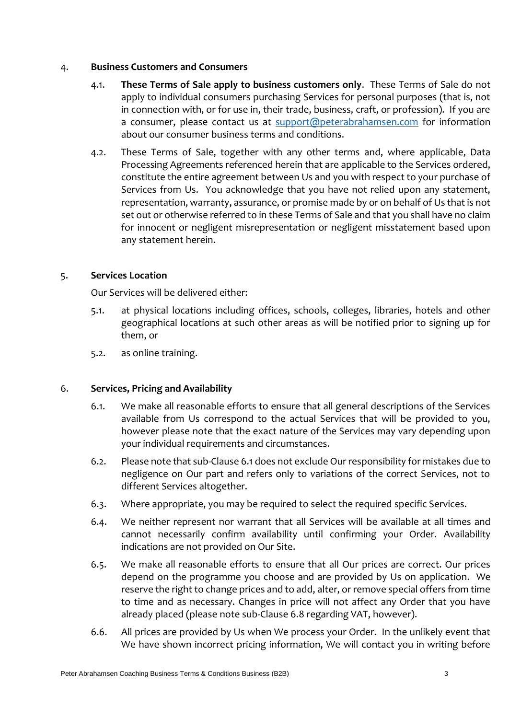### 4. **Business Customers and Consumers**

- 4.1. **These Terms of Sale apply to business customers only**. These Terms of Sale do not apply to individual consumers purchasing Services for personal purposes (that is, not in connection with, or for use in, their trade, business, craft, or profession). If you are a consumer, please contact us at [support@peterabrahamsen.com](mailto:support@peterabrahamsen.com) for information about our consumer business terms and conditions.
- 4.2. These Terms of Sale, together with any other terms and, where applicable, Data Processing Agreements referenced herein that are applicable to the Services ordered, constitute the entire agreement between Us and you with respect to your purchase of Services from Us.You acknowledge that you have not relied upon any statement, representation, warranty, assurance, or promise made by or on behalf of Us that is not set out or otherwise referred to in these Terms of Sale and that you shall have no claim for innocent or negligent misrepresentation or negligent misstatement based upon any statement herein.

# 5. **Services Location**

Our Services will be delivered either:

- 5.1. at physical locations including offices, schools, colleges, libraries, hotels and other geographical locations at such other areas as will be notified prior to signing up for them, or
- 5.2. as online training.

# 6. **Services, Pricing and Availability**

- 6.1. We make all reasonable efforts to ensure that all general descriptions of the Services available from Us correspond to the actual Services that will be provided to you, however please note that the exact nature of the Services may vary depending upon your individual requirements and circumstances.
- 6.2. Please note that sub-Clause 6.1 does not exclude Our responsibility for mistakes due to negligence on Our part and refers only to variations of the correct Services, not to different Services altogether.
- 6.3. Where appropriate, you may be required to select the required specific Services.
- 6.4. We neither represent nor warrant that all Services will be available at all times and cannot necessarily confirm availability until confirming your Order. Availability indications are not provided on Our Site.
- 6.5. We make all reasonable efforts to ensure that all Our prices are correct. Our prices depend on the programme you choose and are provided by Us on application. We reserve the right to change prices and to add, alter, or remove special offers from time to time and as necessary. Changes in price will not affect any Order that you have already placed (please note sub-Clause 6.8 regarding VAT, however).
- 6.6. All prices are provided by Us when We process your Order. In the unlikely event that We have shown incorrect pricing information, We will contact you in writing before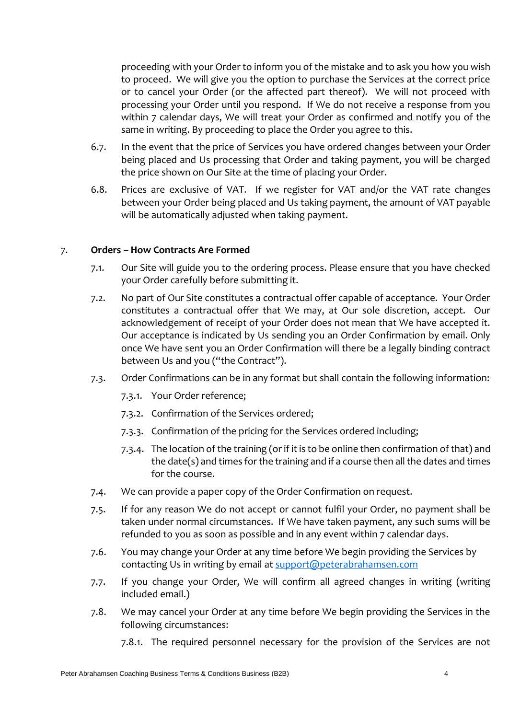proceeding with your Order to inform you of the mistake and to ask you how you wish to proceed. We will give you the option to purchase the Services at the correct price or to cancel your Order (or the affected part thereof). We will not proceed with processing your Order until you respond. If We do not receive a response from you within 7 calendar days, We will treat your Order as confirmed and notify you of the same in writing. By proceeding to place the Order you agree to this.

- 6.7. In the event that the price of Services you have ordered changes between your Order being placed and Us processing that Order and taking payment, you will be charged the price shown on Our Site at the time of placing your Order.
- 6.8. Prices are exclusive of VAT. If we register for VAT and/or the VAT rate changes between your Order being placed and Us taking payment, the amount of VAT payable will be automatically adjusted when taking payment.

# 7. **Orders – How Contracts Are Formed**

- 7.1. Our Site will guide you to the ordering process. Please ensure that you have checked your Order carefully before submitting it.
- 7.2. No part of Our Site constitutes a contractual offer capable of acceptance. Your Order constitutes a contractual offer that We may, at Our sole discretion, accept. Our acknowledgement of receipt of your Order does not mean that We have accepted it. Our acceptance is indicated by Us sending you an Order Confirmation by email. Only once We have sent you an Order Confirmation will there be a legally binding contract between Us and you ("the Contract").
- 7.3. Order Confirmations can be in any format but shall contain the following information:
	- 7.3.1. Your Order reference;
	- 7.3.2. Confirmation of the Services ordered;
	- 7.3.3. Confirmation of the pricing for the Services ordered including;
	- 7.3.4. The location of the training (or if it is to be online then confirmation of that) and the date(s) and times for the training and if a course then all the dates and times for the course.
- 7.4. We can provide a paper copy of the Order Confirmation on request.
- 7.5. If for any reason We do not accept or cannot fulfil your Order, no payment shall be taken under normal circumstances. If We have taken payment, any such sums will be refunded to you as soon as possible and in any event within 7 calendar days.
- 7.6. You may change your Order at any time before We begin providing the Services by contacting Us in writing by email at [support@peterabrahamsen.com](mailto:support@peterabrahamsen.com)
- 7.7. If you change your Order, We will confirm all agreed changes in writing (writing included email.)
- 7.8. We may cancel your Order at any time before We begin providing the Services in the following circumstances:
	- 7.8.1. The required personnel necessary for the provision of the Services are not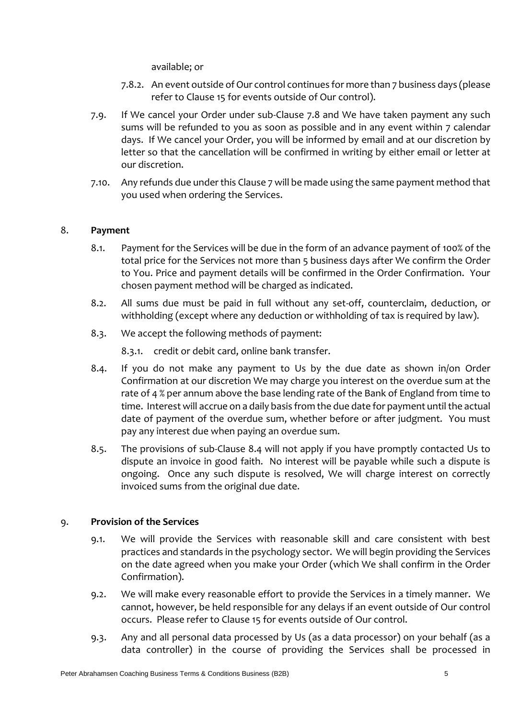available; or

- 7.8.2. An event outside of Our control continues for more than 7 business days (please refer to Clause 15 for events outside of Our control).
- 7.9. If We cancel your Order under sub-Clause 7.8 and We have taken payment any such sums will be refunded to you as soon as possible and in any event within 7 calendar days. If We cancel your Order, you will be informed by email and at our discretion by letter so that the cancellation will be confirmed in writing by either email or letter at our discretion.
- 7.10. Any refunds due under this Clause 7 will be made using the same payment method that you used when ordering the Services.

# 8. **Payment**

- 8.1. Payment for the Services will be due in the form of an advance payment of 100% of the total price for the Services not more than 5 business days after We confirm the Order to You. Price and payment details will be confirmed in the Order Confirmation. Your chosen payment method will be charged as indicated.
- 8.2. All sums due must be paid in full without any set-off, counterclaim, deduction, or withholding (except where any deduction or withholding of tax is required by law).
- 8.3. We accept the following methods of payment:

8.3.1. credit or debit card, online bank transfer.

- 8.4. If you do not make any payment to Us by the due date as shown in/on Order Confirmation at our discretion We may charge you interest on the overdue sum at the rate of 4 % per annum above the base lending rate of the Bank of England from time to time. Interest will accrue on a daily basis from the due date for payment until the actual date of payment of the overdue sum, whether before or after judgment. You must pay any interest due when paying an overdue sum.
- 8.5. The provisions of sub-Clause 8.4 will not apply if you have promptly contacted Us to dispute an invoice in good faith. No interest will be payable while such a dispute is ongoing. Once any such dispute is resolved, We will charge interest on correctly invoiced sums from the original due date.

# 9. **Provision of the Services**

- 9.1. We will provide the Services with reasonable skill and care consistent with best practices and standards in the psychology sector. We will begin providing the Services on the date agreed when you make your Order (which We shall confirm in the Order Confirmation).
- 9.2. We will make every reasonable effort to provide the Services in a timely manner. We cannot, however, be held responsible for any delays if an event outside of Our control occurs. Please refer to Clause 15 for events outside of Our control.
- 9.3. Any and all personal data processed by Us (as a data processor) on your behalf (as a data controller) in the course of providing the Services shall be processed in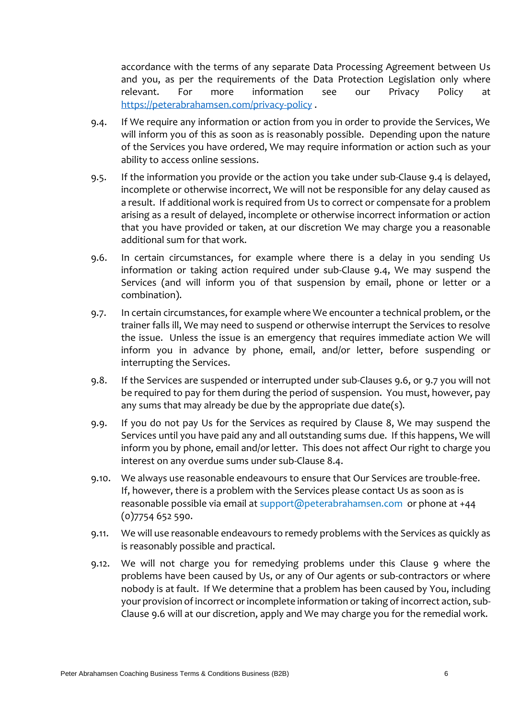accordance with the terms of any separate Data Processing Agreement between Us and you, as per the requirements of the Data Protection Legislation only where relevant. For more information see our Privacy Policy at [https://peterabrahamsen.com/privacy-policy](https://peterabrahamsen.com/privacy-policy/) .

- 9.4. If We require any information or action from you in order to provide the Services, We will inform you of this as soon as is reasonably possible. Depending upon the nature of the Services you have ordered, We may require information or action such as your ability to access online sessions.
- 9.5. If the information you provide or the action you take under sub-Clause 9.4 is delayed, incomplete or otherwise incorrect, We will not be responsible for any delay caused as a result. If additional work is required from Us to correct or compensate for a problem arising as a result of delayed, incomplete or otherwise incorrect information or action that you have provided or taken, at our discretion We may charge you a reasonable additional sum for that work.
- 9.6. In certain circumstances, for example where there is a delay in you sending Us information or taking action required under sub-Clause 9.4, We may suspend the Services (and will inform you of that suspension by email, phone or letter or a combination).
- 9.7. In certain circumstances, for example where We encounter a technical problem, or the trainer falls ill, We may need to suspend or otherwise interrupt the Services to resolve the issue. Unless the issue is an emergency that requires immediate action We will inform you in advance by phone, email, and/or letter, before suspending or interrupting the Services.
- 9.8. If the Services are suspended or interrupted under sub-Clauses 9.6, or 9.7 you will not be required to pay for them during the period of suspension. You must, however, pay any sums that may already be due by the appropriate due date(s).
- 9.9. If you do not pay Us for the Services as required by Clause 8, We may suspend the Services until you have paid any and all outstanding sums due. If this happens, We will inform you by phone, email and/or letter. This does not affect Our right to charge you interest on any overdue sums under sub-Clause 8.4.
- 9.10. We always use reasonable endeavours to ensure that Our Services are trouble-free. If, however, there is a problem with the Services please contact Us as soon as is reasonable possible via email at support@peterabrahamsen.com or phone at +44 (0)7754 652 590.
- 9.11. We will use reasonable endeavours to remedy problems with the Services as quickly as is reasonably possible and practical.
- 9.12. We will not charge you for remedying problems under this Clause 9 where the problems have been caused by Us, or any of Our agents or sub-contractors or where nobody is at fault. If We determine that a problem has been caused by You, including your provision of incorrect or incomplete information or taking of incorrect action, sub-Clause 9.6 will at our discretion, apply and We may charge you for the remedial work.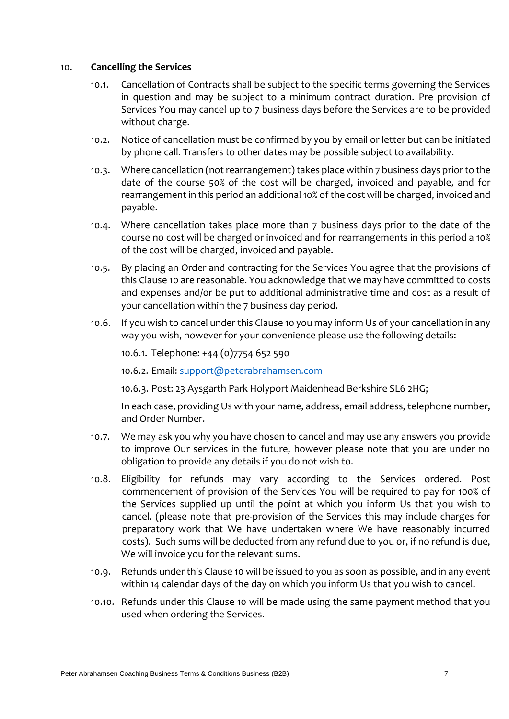#### 10. **Cancelling the Services**

- 10.1. Cancellation of Contracts shall be subject to the specific terms governing the Services in question and may be subject to a minimum contract duration. Pre provision of Services You may cancel up to 7 business days before the Services are to be provided without charge.
- 10.2. Notice of cancellation must be confirmed by you by email or letter but can be initiated by phone call. Transfers to other dates may be possible subject to availability.
- 10.3. Where cancellation (not rearrangement) takes place within 7 business days prior to the date of the course 50% of the cost will be charged, invoiced and payable, and for rearrangement in this period an additional 10% of the cost will be charged, invoiced and payable.
- 10.4. Where cancellation takes place more than 7 business days prior to the date of the course no cost will be charged or invoiced and for rearrangements in this period a 10% of the cost will be charged, invoiced and payable.
- 10.5. By placing an Order and contracting for the Services You agree that the provisions of this Clause 10 are reasonable. You acknowledge that we may have committed to costs and expenses and/or be put to additional administrative time and cost as a result of your cancellation within the 7 business day period.
- 10.6. If you wish to cancel under this Clause 10 you may inform Us of your cancellation in any way you wish, however for your convenience please use the following details:

10.6.1. Telephone: +44 (0)7754 652 590

10.6.2. Email: [support@peterabrahamsen.com](mailto:support@peterabrahamsen.com)

10.6.3. Post: 23 Aysgarth Park Holyport Maidenhead Berkshire SL6 2HG;

In each case, providing Us with your name, address, email address, telephone number, and Order Number.

- 10.7. We may ask you why you have chosen to cancel and may use any answers you provide to improve Our services in the future, however please note that you are under no obligation to provide any details if you do not wish to.
- 10.8. Eligibility for refunds may vary according to the Services ordered. Post commencement of provision of the Services You will be required to pay for 100% of the Services supplied up until the point at which you inform Us that you wish to cancel. (please note that pre-provision of the Services this may include charges for preparatory work that We have undertaken where We have reasonably incurred costs). Such sums will be deducted from any refund due to you or, if no refund is due, We will invoice you for the relevant sums.
- 10.9. Refunds under this Clause 10 will be issued to you as soon as possible, and in any event within 14 calendar days of the day on which you inform Us that you wish to cancel.
- 10.10. Refunds under this Clause 10 will be made using the same payment method that you used when ordering the Services.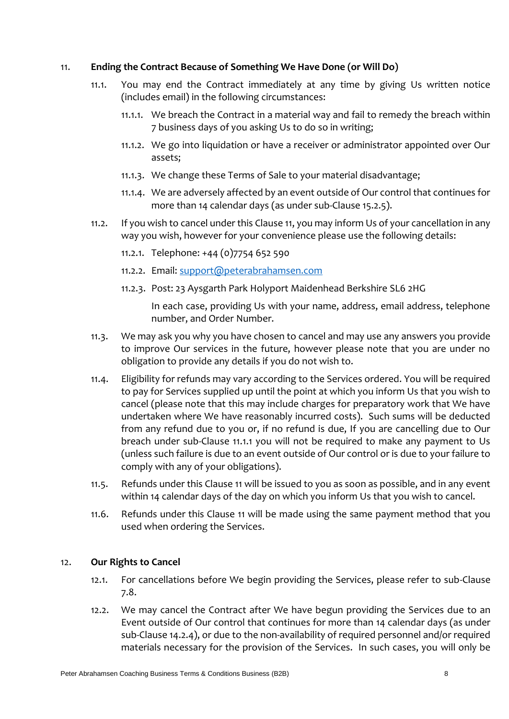### 11. **Ending the Contract Because of Something We Have Done (or Will Do)**

- 11.1. You may end the Contract immediately at any time by giving Us written notice (includes email) in the following circumstances:
	- 11.1.1. We breach the Contract in a material way and fail to remedy the breach within 7 business days of you asking Us to do so in writing;
	- 11.1.2. We go into liquidation or have a receiver or administrator appointed over Our assets;
	- 11.1.3. We change these Terms of Sale to your material disadvantage;
	- 11.1.4. We are adversely affected by an event outside of Our control that continues for more than 14 calendar days (as under sub-Clause 15.2.5).
- 11.2. If you wish to cancel under this Clause 11, you may inform Us of your cancellation in any way you wish, however for your convenience please use the following details:
	- 11.2.1. Telephone: +44 (0)7754 652 590
	- 11.2.2. Email: [support@peterabrahamsen.com](mailto:support@peterabrahamsen.com)
	- 11.2.3. Post: 23 Aysgarth Park Holyport Maidenhead Berkshire SL6 2HG

In each case, providing Us with your name, address, email address, telephone number, and Order Number.

- 11.3. We may ask you why you have chosen to cancel and may use any answers you provide to improve Our services in the future, however please note that you are under no obligation to provide any details if you do not wish to.
- 11.4. Eligibility for refunds may vary according to the Services ordered. You will be required to pay for Services supplied up until the point at which you inform Us that you wish to cancel (please note that this may include charges for preparatory work that We have undertaken where We have reasonably incurred costs). Such sums will be deducted from any refund due to you or, if no refund is due, If you are cancelling due to Our breach under sub-Clause 11.1.1 you will not be required to make any payment to Us (unless such failure is due to an event outside of Our control or is due to your failure to comply with any of your obligations).
- 11.5. Refunds under this Clause 11 will be issued to you as soon as possible, and in any event within 14 calendar days of the day on which you inform Us that you wish to cancel.
- 11.6. Refunds under this Clause 11 will be made using the same payment method that you used when ordering the Services.

# 12. **Our Rights to Cancel**

- 12.1. For cancellations before We begin providing the Services, please refer to sub-Clause 7.8.
- 12.2. We may cancel the Contract after We have begun providing the Services due to an Event outside of Our control that continues for more than 14 calendar days (as under sub-Clause 14.2.4), or due to the non-availability of required personnel and/or required materials necessary for the provision of the Services. In such cases, you will only be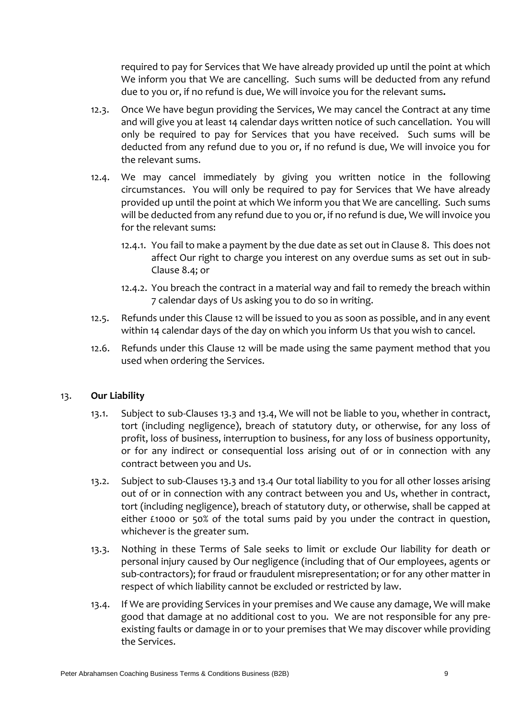required to pay for Services that We have already provided up until the point at which We inform you that We are cancelling. Such sums will be deducted from any refund due to you or, if no refund is due, We will invoice you for the relevant sums**.** 

- 12.3. Once We have begun providing the Services, We may cancel the Contract at any time and will give you at least 14 calendar days written notice of such cancellation. You will only be required to pay for Services that you have received. Such sums will be deducted from any refund due to you or, if no refund is due, We will invoice you for the relevant sums.
- 12.4. We may cancel immediately by giving you written notice in the following circumstances. You will only be required to pay for Services that We have already provided up until the point at which We inform you that We are cancelling. Such sums will be deducted from any refund due to you or, if no refund is due, We will invoice you for the relevant sums:
	- 12.4.1. You fail to make a payment by the due date as set out in Clause 8. This does not affect Our right to charge you interest on any overdue sums as set out in sub-Clause 8.4; or
	- 12.4.2. You breach the contract in a material way and fail to remedy the breach within 7 calendar days of Us asking you to do so in writing.
- 12.5. Refunds under this Clause 12 will be issued to you as soon as possible, and in any event within 14 calendar days of the day on which you inform Us that you wish to cancel.
- 12.6. Refunds under this Clause 12 will be made using the same payment method that you used when ordering the Services.

# 13. **Our Liability**

- 13.1. Subject to sub-Clauses 13.3 and 13.4, We will not be liable to you, whether in contract, tort (including negligence), breach of statutory duty, or otherwise, for any loss of profit, loss of business, interruption to business, for any loss of business opportunity, or for any indirect or consequential loss arising out of or in connection with any contract between you and Us.
- 13.2. Subject to sub-Clauses 13.3 and 13.4 Our total liability to you for all other losses arising out of or in connection with any contract between you and Us, whether in contract, tort (including negligence), breach of statutory duty, or otherwise, shall be capped at either £1000 or 50% of the total sums paid by you under the contract in question, whichever is the greater sum.
- 13.3. Nothing in these Terms of Sale seeks to limit or exclude Our liability for death or personal injury caused by Our negligence (including that of Our employees, agents or sub-contractors); for fraud or fraudulent misrepresentation; or for any other matter in respect of which liability cannot be excluded or restricted by law.
- 13.4. If We are providing Services in your premises and We cause any damage, We will make good that damage at no additional cost to you. We are not responsible for any preexisting faults or damage in or to your premises that We may discover while providing the Services.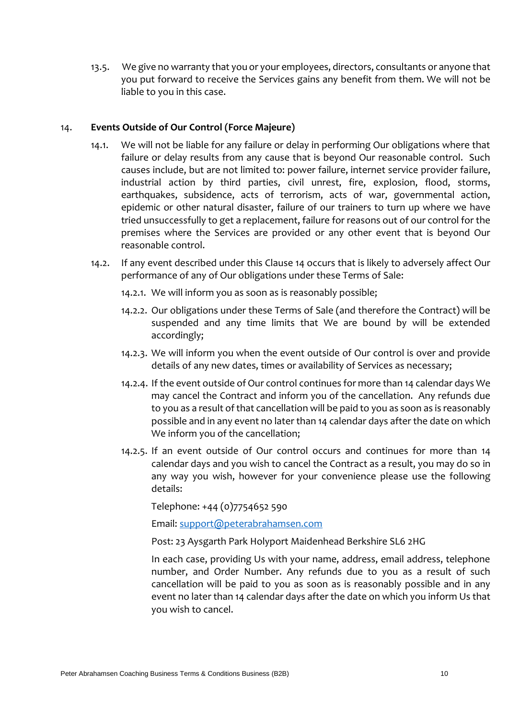13.5. We give no warranty that you or your employees, directors, consultants or anyone that you put forward to receive the Services gains any benefit from them. We will not be liable to you in this case.

### 14. **Events Outside of Our Control (Force Majeure)**

- 14.1. We will not be liable for any failure or delay in performing Our obligations where that failure or delay results from any cause that is beyond Our reasonable control. Such causes include, but are not limited to: power failure, internet service provider failure, industrial action by third parties, civil unrest, fire, explosion, flood, storms, earthquakes, subsidence, acts of terrorism, acts of war, governmental action, epidemic or other natural disaster, failure of our trainers to turn up where we have tried unsuccessfully to get a replacement, failure for reasons out of our control for the premises where the Services are provided or any other event that is beyond Our reasonable control.
- 14.2. If any event described under this Clause 14 occurs that is likely to adversely affect Our performance of any of Our obligations under these Terms of Sale:
	- 14.2.1. We will inform you as soon as is reasonably possible;
	- 14.2.2. Our obligations under these Terms of Sale (and therefore the Contract) will be suspended and any time limits that We are bound by will be extended accordingly;
	- 14.2.3. We will inform you when the event outside of Our control is over and provide details of any new dates, times or availability of Services as necessary;
	- 14.2.4. If the event outside of Our control continues for more than 14 calendar days We may cancel the Contract and inform you of the cancellation. Any refunds due to you as a result of that cancellation will be paid to you as soon as is reasonably possible and in any event no later than 14 calendar days after the date on which We inform you of the cancellation;
	- 14.2.5. If an event outside of Our control occurs and continues for more than 14 calendar days and you wish to cancel the Contract as a result, you may do so in any way you wish, however for your convenience please use the following details:

Telephone: +44 (0)7754652 590

Email: [support@peterabrahamsen.com](mailto:support@peterabrahamsen.com)

Post: 23 Aysgarth Park Holyport Maidenhead Berkshire SL6 2HG

In each case, providing Us with your name, address, email address, telephone number, and Order Number. Any refunds due to you as a result of such cancellation will be paid to you as soon as is reasonably possible and in any event no later than 14 calendar days after the date on which you inform Us that you wish to cancel.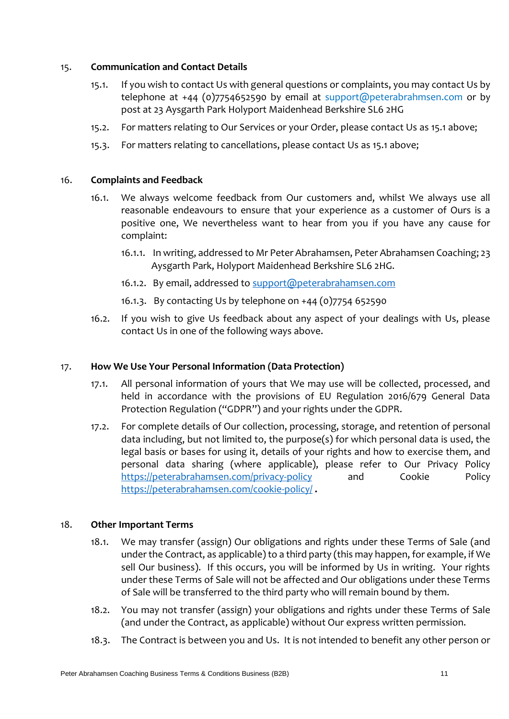### 15. **Communication and Contact Details**

- 15.1. If you wish to contact Us with general questions or complaints, you may contact Us by telephone at +44 (0)7754652590 by email at support@peterabrahmsen.com or by post at 23 Aysgarth Park Holyport Maidenhead Berkshire SL6 2HG
- 15.2. For matters relating to Our Services or your Order, please contact Us as 15.1 above;
- 15.3. For matters relating to cancellations, please contact Us as 15.1 above;

# 16. **Complaints and Feedback**

- 16.1. We always welcome feedback from Our customers and, whilst We always use all reasonable endeavours to ensure that your experience as a customer of Ours is a positive one, We nevertheless want to hear from you if you have any cause for complaint:
	- 16.1.1. In writing, addressed to Mr Peter Abrahamsen, Peter Abrahamsen Coaching; 23 Aysgarth Park, Holyport Maidenhead Berkshire SL6 2HG.
	- 16.1.2. By email, addressed to [support@peterabrahamsen.com](mailto:support@peterabrahamsen.com)
	- 16.1.3. By contacting Us by telephone on +44 (0)7754 652590
- 16.2. If you wish to give Us feedback about any aspect of your dealings with Us, please contact Us in one of the following ways above.

# 17. **How We Use Your Personal Information (Data Protection)**

- 17.1. All personal information of yours that We may use will be collected, processed, and held in accordance with the provisions of EU Regulation 2016/679 General Data Protection Regulation ("GDPR") and your rights under the GDPR.
- 17.2. For complete details of Our collection, processing, storage, and retention of personal data including, but not limited to, the purpose(s) for which personal data is used, the legal basis or bases for using it, details of your rights and how to exercise them, and personal data sharing (where applicable), please refer to Our Privacy Policy [https://peterabrahamsen.com/privacy-policy](https://peterabrahamsen.com/privacy-policy/) and Cookie Policy <https://peterabrahamsen.com/cookie-policy/> **.**

### 18. **Other Important Terms**

- 18.1. We may transfer (assign) Our obligations and rights under these Terms of Sale (and under the Contract, as applicable) to a third party (this may happen, for example, if We sell Our business). If this occurs, you will be informed by Us in writing. Your rights under these Terms of Sale will not be affected and Our obligations under these Terms of Sale will be transferred to the third party who will remain bound by them.
- 18.2. You may not transfer (assign) your obligations and rights under these Terms of Sale (and under the Contract, as applicable) without Our express written permission.
- 18.3. The Contract is between you and Us. It is not intended to benefit any other person or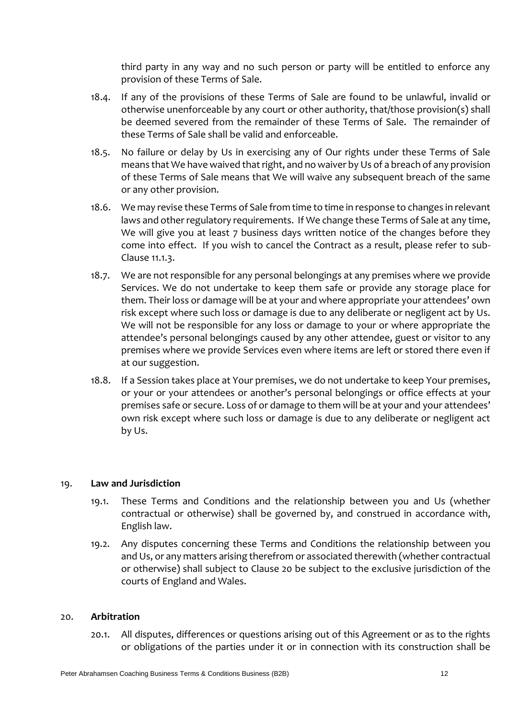third party in any way and no such person or party will be entitled to enforce any provision of these Terms of Sale.

- 18.4. If any of the provisions of these Terms of Sale are found to be unlawful, invalid or otherwise unenforceable by any court or other authority, that/those provision(s) shall be deemed severed from the remainder of these Terms of Sale. The remainder of these Terms of Sale shall be valid and enforceable.
- 18.5. No failure or delay by Us in exercising any of Our rights under these Terms of Sale means that We have waived that right, and no waiver by Us of a breach of any provision of these Terms of Sale means that We will waive any subsequent breach of the same or any other provision.
- 18.6. We may revise these Terms of Sale from time to time in response to changes in relevant laws and other regulatory requirements. If We change these Terms of Sale at any time, We will give you at least 7 business days written notice of the changes before they come into effect. If you wish to cancel the Contract as a result, please refer to sub-Clause 11.1.3.
- 18.7. We are not responsible for any personal belongings at any premises where we provide Services. We do not undertake to keep them safe or provide any storage place for them. Their loss or damage will be at your and where appropriate your attendees' own risk except where such loss or damage is due to any deliberate or negligent act by Us. We will not be responsible for any loss or damage to your or where appropriate the attendee's personal belongings caused by any other attendee, guest or visitor to any premises where we provide Services even where items are left or stored there even if at our suggestion.
- 18.8. If a Session takes place at Your premises, we do not undertake to keep Your premises, or your or your attendees or another's personal belongings or office effects at your premises safe or secure. Loss of or damage to them will be at your and your attendees' own risk except where such loss or damage is due to any deliberate or negligent act by Us.

# 19. **Law and Jurisdiction**

- 19.1. These Terms and Conditions and the relationship between you and Us (whether contractual or otherwise) shall be governed by, and construed in accordance with, English law.
- 19.2. Any disputes concerning these Terms and Conditions the relationship between you and Us, or any matters arising therefrom or associated therewith (whether contractual or otherwise) shall subject to Clause 20 be subject to the exclusive jurisdiction of the courts of England and Wales.

### 20. **Arbitration**

20.1. All disputes, differences or questions arising out of this Agreement or as to the rights or obligations of the parties under it or in connection with its construction shall be